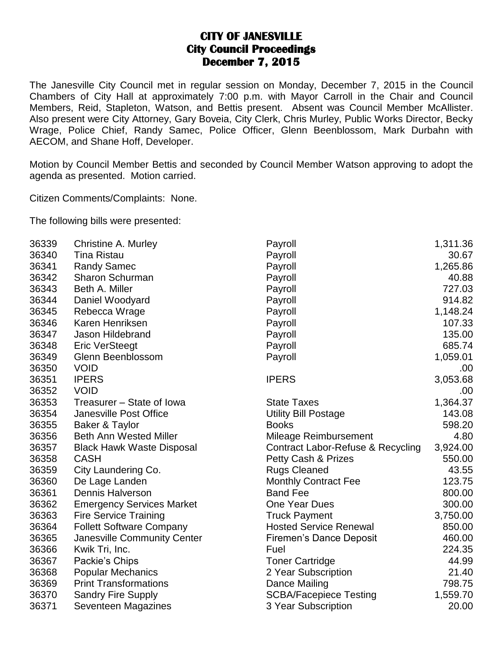## **CITY OF JANESVILLE City Council Proceedings December 7, 2015**

The Janesville City Council met in regular session on Monday, December 7, 2015 in the Council Chambers of City Hall at approximately 7:00 p.m. with Mayor Carroll in the Chair and Council Members, Reid, Stapleton, Watson, and Bettis present. Absent was Council Member McAllister. Also present were City Attorney, Gary Boveia, City Clerk, Chris Murley, Public Works Director, Becky Wrage, Police Chief, Randy Samec, Police Officer, Glenn Beenblossom, Mark Durbahn with AECOM, and Shane Hoff, Developer.

Motion by Council Member Bettis and seconded by Council Member Watson approving to adopt the agenda as presented. Motion carried.

Citizen Comments/Complaints: None.

The following bills were presented:

| 36339 | Christine A. Murley              | Payroll                           | 1,311.36 |
|-------|----------------------------------|-----------------------------------|----------|
| 36340 | <b>Tina Ristau</b>               | Payroll                           | 30.67    |
| 36341 | <b>Randy Samec</b>               | Payroll                           | 1,265.86 |
| 36342 | <b>Sharon Schurman</b>           | Payroll                           | 40.88    |
| 36343 | Beth A. Miller                   | Payroll                           | 727.03   |
| 36344 | Daniel Woodyard                  | Payroll                           | 914.82   |
| 36345 | Rebecca Wrage                    | Payroll                           | 1,148.24 |
| 36346 | Karen Henriksen                  | Payroll                           | 107.33   |
| 36347 | Jason Hildebrand                 | Payroll                           | 135.00   |
| 36348 | <b>Eric VerSteegt</b>            | Payroll                           | 685.74   |
| 36349 | Glenn Beenblossom                | Payroll                           | 1,059.01 |
| 36350 | <b>VOID</b>                      |                                   | .00      |
| 36351 | <b>IPERS</b>                     | <b>IPERS</b>                      | 3,053.68 |
| 36352 | <b>VOID</b>                      |                                   | .00      |
| 36353 | Treasurer - State of Iowa        | <b>State Taxes</b>                | 1,364.37 |
| 36354 | <b>Janesville Post Office</b>    | <b>Utility Bill Postage</b>       | 143.08   |
| 36355 | Baker & Taylor                   | <b>Books</b>                      | 598.20   |
| 36356 | <b>Beth Ann Wested Miller</b>    | Mileage Reimbursement             | 4.80     |
| 36357 | <b>Black Hawk Waste Disposal</b> | Contract Labor-Refuse & Recycling | 3,924.00 |
| 36358 | <b>CASH</b>                      | Petty Cash & Prizes               | 550.00   |
| 36359 | City Laundering Co.              | <b>Rugs Cleaned</b>               | 43.55    |
| 36360 | De Lage Landen                   | <b>Monthly Contract Fee</b>       | 123.75   |
| 36361 | <b>Dennis Halverson</b>          | <b>Band Fee</b>                   | 800.00   |
| 36362 | <b>Emergency Services Market</b> | One Year Dues                     | 300.00   |
| 36363 | <b>Fire Service Training</b>     | <b>Truck Payment</b>              | 3,750.00 |
| 36364 | <b>Follett Software Company</b>  | <b>Hosted Service Renewal</b>     | 850.00   |
| 36365 | Janesville Community Center      | Firemen's Dance Deposit           | 460.00   |
| 36366 | Kwik Tri, Inc.                   | Fuel                              | 224.35   |
| 36367 | Packie's Chips                   | <b>Toner Cartridge</b>            | 44.99    |
| 36368 | <b>Popular Mechanics</b>         | 2 Year Subscription               | 21.40    |
| 36369 | <b>Print Transformations</b>     | Dance Mailing                     | 798.75   |
| 36370 | <b>Sandry Fire Supply</b>        | <b>SCBA/Facepiece Testing</b>     | 1,559.70 |
| 36371 | Seventeen Magazines              | 3 Year Subscription               | 20.00    |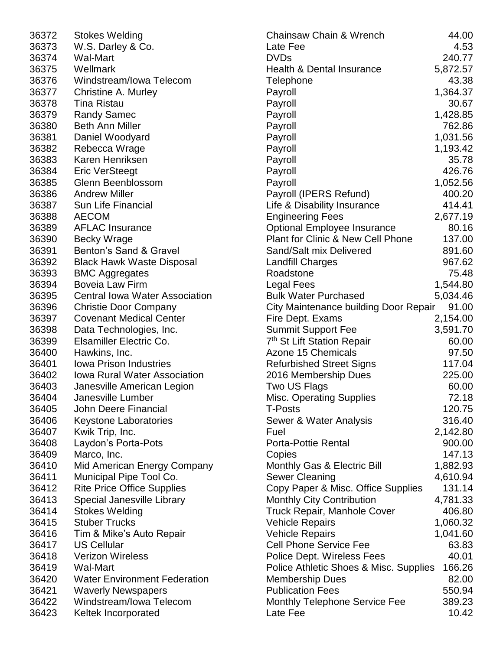| 36372 | Stokes Welding                        | $\mathsf{C}$            |
|-------|---------------------------------------|-------------------------|
| 36373 | W.S. Darley & Co.                     |                         |
| 36374 | Wal-Mart                              | レロト                     |
| 36375 | Wellmark                              |                         |
| 36376 | Windstream/Iowa Telecom               | T                       |
| 36377 | Christine A. Murley                   | P                       |
| 36378 | <b>Tina Ristau</b>                    | P                       |
| 36379 | <b>Randy Samec</b>                    | P                       |
| 36380 | <b>Beth Ann Miller</b>                | P                       |
| 36381 | Daniel Woodyard                       | P                       |
| 36382 | Rebecca Wrage                         | P                       |
| 36383 | Karen Henriksen                       | P                       |
| 36384 | <b>Eric VerSteegt</b>                 | P                       |
| 36385 | Glenn Beenblossom                     | P                       |
| 36386 | <b>Andrew Miller</b>                  | P                       |
| 36387 | <b>Sun Life Financial</b>             |                         |
| 36388 | <b>AECOM</b>                          |                         |
| 36389 | <b>AFLAC Insurance</b>                | L<br>E<br>C             |
| 36390 | <b>Becky Wrage</b>                    | P                       |
| 36391 | Benton's Sand & Gravel                | S                       |
| 36392 | <b>Black Hawk Waste Disposal</b>      | L                       |
| 36393 | <b>BMC Aggregates</b>                 | R                       |
| 36394 | <b>Boveia Law Firm</b>                | L                       |
| 36395 | <b>Central lowa Water Association</b> |                         |
|       |                                       | $\frac{B}{C}$           |
| 36396 | <b>Christie Door Company</b>          |                         |
| 36397 | <b>Covenant Medical Center</b>        | F                       |
| 36398 | Data Technologies, Inc.               | S                       |
| 36399 | Elsamiller Electric Co.               | $\overline{7}$          |
| 36400 | Hawkins, Inc.                         | A                       |
| 36401 | <b>Iowa Prison Industries</b>         | $\overline{\mathsf{R}}$ |
| 36402 | <b>Iowa Rural Water Association</b>   | $\overline{\mathbf{c}}$ |
| 36403 | Janesville American Legion            | T                       |
| 36404 | Janesville Lumber                     | N                       |
| 36405 | John Deere Financial                  | Τ                       |
| 36406 | <b>Keystone Laboratories</b>          | S                       |
| 36407 | Kwik Trip, Inc.                       | F                       |
| 36408 | Laydon's Porta-Pots                   | P                       |
| 36409 | Marco, Inc.                           | $\mathsf{C}$            |
| 36410 | Mid American Energy Company           | N                       |
| 36411 | Municipal Pipe Tool Co.               | S                       |
| 36412 | <b>Rite Price Office Supplies</b>     | $\mathsf{C}$            |
| 36413 | <b>Special Janesville Library</b>     | N                       |
| 36414 | <b>Stokes Welding</b>                 | T                       |
| 36415 | <b>Stuber Trucks</b>                  | $\vee$                  |
| 36416 | Tim & Mike's Auto Repair              | ٧                       |
| 36417 | <b>US Cellular</b>                    | $\mathsf{C}$            |
| 36418 | <b>Verizon Wireless</b>               | P                       |
| 36419 | Wal-Mart                              | P                       |
| 36420 | <b>Water Environment Federation</b>   | N                       |
| 36421 | <b>Waverly Newspapers</b>             | P                       |
| 36422 | Windstream/Iowa Telecom               | N                       |
| 36423 | Keltek Incorporated                   | L                       |

| 36372 | <b>Stokes Welding</b>                 | <b>Chainsaw Chain &amp; Wrench</b>     | 44.00    |
|-------|---------------------------------------|----------------------------------------|----------|
| 36373 | W.S. Darley & Co.                     | Late Fee                               | 4.53     |
| 36374 | <b>Wal-Mart</b>                       | <b>DVDs</b>                            | 240.77   |
| 36375 | Wellmark                              | <b>Health &amp; Dental Insurance</b>   | 5,872.57 |
| 36376 | Windstream/Iowa Telecom               | Telephone                              | 43.38    |
| 36377 | Christine A. Murley                   | Payroll                                | 1,364.37 |
| 36378 | <b>Tina Ristau</b>                    | Payroll                                | 30.67    |
| 36379 | <b>Randy Samec</b>                    | Payroll                                | 1,428.85 |
| 36380 | <b>Beth Ann Miller</b>                | Payroll                                | 762.86   |
| 36381 | Daniel Woodyard                       | Payroll                                | 1,031.56 |
| 36382 | Rebecca Wrage                         | Payroll                                | 1,193.42 |
| 36383 | Karen Henriksen                       | Payroll                                | 35.78    |
| 36384 | <b>Eric VerSteegt</b>                 | Payroll                                | 426.76   |
| 36385 | Glenn Beenblossom                     | Payroll                                | 1,052.56 |
| 36386 | <b>Andrew Miller</b>                  | Payroll (IPERS Refund)                 | 400.20   |
| 36387 | <b>Sun Life Financial</b>             | Life & Disability Insurance            | 414.41   |
| 36388 | <b>AECOM</b>                          | <b>Engineering Fees</b>                | 2,677.19 |
| 36389 | <b>AFLAC Insurance</b>                | <b>Optional Employee Insurance</b>     | 80.16    |
| 36390 | <b>Becky Wrage</b>                    | Plant for Clinic & New Cell Phone      | 137.00   |
| 36391 | Benton's Sand & Gravel                | Sand/Salt mix Delivered                | 891.60   |
| 36392 | <b>Black Hawk Waste Disposal</b>      | <b>Landfill Charges</b>                | 967.62   |
| 36393 | <b>BMC Aggregates</b>                 | Roadstone                              | 75.48    |
| 36394 | <b>Boveia Law Firm</b>                | Legal Fees                             | 1,544.80 |
| 36395 | <b>Central Iowa Water Association</b> | <b>Bulk Water Purchased</b>            | 5,034.46 |
| 36396 | <b>Christie Door Company</b>          | City Maintenance building Door Repair  | 91.00    |
| 36397 | <b>Covenant Medical Center</b>        | Fire Dept. Exams                       | 2,154.00 |
| 36398 | Data Technologies, Inc.               | <b>Summit Support Fee</b>              | 3,591.70 |
| 36399 | Elsamiller Electric Co.               | 7 <sup>th</sup> St Lift Station Repair | 60.00    |
| 36400 |                                       | <b>Azone 15 Chemicals</b>              |          |
|       | Hawkins, Inc.                         |                                        | 97.50    |
| 36401 | <b>Iowa Prison Industries</b>         | <b>Refurbished Street Signs</b>        | 117.04   |
| 36402 | Iowa Rural Water Association          | 2016 Membership Dues                   | 225.00   |
| 36403 | Janesville American Legion            | Two US Flags                           | 60.00    |
| 36404 | Janesville Lumber                     | <b>Misc. Operating Supplies</b>        | 72.18    |
| 36405 | <b>John Deere Financial</b>           | <b>T-Posts</b>                         | 120.75   |
| 36406 | <b>Keystone Laboratories</b>          | Sewer & Water Analysis                 | 316.40   |
| 36407 | Kwik Trip, Inc.                       | Fuel                                   | 2,142.80 |
| 36408 | Laydon's Porta-Pots                   | <b>Porta-Pottie Rental</b>             | 900.00   |
| 36409 | Marco, Inc.                           | Copies                                 | 147.13   |
| 36410 | Mid American Energy Company           | Monthly Gas & Electric Bill            | 1,882.93 |
| 36411 | Municipal Pipe Tool Co.               | <b>Sewer Cleaning</b>                  | 4,610.94 |
| 36412 | <b>Rite Price Office Supplies</b>     | Copy Paper & Misc. Office Supplies     | 131.14   |
| 36413 | Special Janesville Library            | <b>Monthly City Contribution</b>       | 4,781.33 |
| 36414 | <b>Stokes Welding</b>                 | <b>Truck Repair, Manhole Cover</b>     | 406.80   |
| 36415 | <b>Stuber Trucks</b>                  | <b>Vehicle Repairs</b>                 | 1,060.32 |
| 36416 | Tim & Mike's Auto Repair              | <b>Vehicle Repairs</b>                 | 1,041.60 |
| 36417 | <b>US Cellular</b>                    | <b>Cell Phone Service Fee</b>          | 63.83    |
| 36418 | <b>Verizon Wireless</b>               | Police Dept. Wireless Fees             | 40.01    |
| 36419 | <b>Wal-Mart</b>                       | Police Athletic Shoes & Misc. Supplies | 166.26   |
| 36420 | <b>Water Environment Federation</b>   | <b>Membership Dues</b>                 | 82.00    |
| 36421 | <b>Waverly Newspapers</b>             | <b>Publication Fees</b>                | 550.94   |
| 36422 | Windstream/Iowa Telecom               | Monthly Telephone Service Fee          | 389.23   |
| 36423 | Keltek Incorporated                   | Late Fee                               | 10.42    |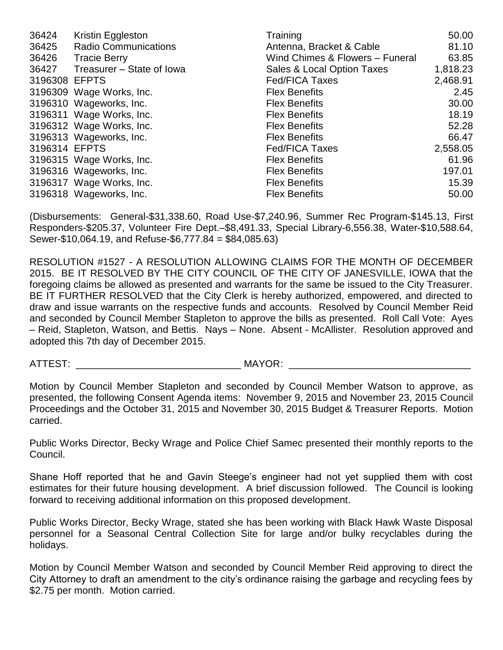| 36424         | Kristin Eggleston           | Training                        | 50.00    |
|---------------|-----------------------------|---------------------------------|----------|
| 36425         | <b>Radio Communications</b> | Antenna, Bracket & Cable        | 81.10    |
| 36426         | Tracie Berry                | Wind Chimes & Flowers - Funeral | 63.85    |
| 36427         | Treasurer – State of Iowa   | Sales & Local Option Taxes      | 1,818.23 |
| 3196308 EFPTS |                             | <b>Fed/FICA Taxes</b>           | 2,468.91 |
|               | 3196309 Wage Works, Inc.    | <b>Flex Benefits</b>            | 2.45     |
|               | 3196310 Wageworks, Inc.     | <b>Flex Benefits</b>            | 30.00    |
|               | 3196311 Wage Works, Inc.    | <b>Flex Benefits</b>            | 18.19    |
|               | 3196312 Wage Works, Inc.    | <b>Flex Benefits</b>            | 52.28    |
|               | 3196313 Wageworks, Inc.     | <b>Flex Benefits</b>            | 66.47    |
| 3196314 EFPTS |                             | <b>Fed/FICA Taxes</b>           | 2,558.05 |
|               | 3196315 Wage Works, Inc.    | <b>Flex Benefits</b>            | 61.96    |
|               | 3196316 Wageworks, Inc.     | <b>Flex Benefits</b>            | 197.01   |
|               | 3196317 Wage Works, Inc.    | <b>Flex Benefits</b>            | 15.39    |
|               | 3196318 Wageworks, Inc.     | <b>Flex Benefits</b>            | 50.00    |

(Disbursements: General-\$31,338.60, Road Use-\$7,240.96, Summer Rec Program-\$145.13, First Responders-\$205.37, Volunteer Fire Dept.–\$8,491.33, Special Library-6,556.38, Water-\$10,588.64, Sewer-\$10,064.19, and Refuse-\$6,777.84 = \$84,085.63)

RESOLUTION #1527 - A RESOLUTION ALLOWING CLAIMS FOR THE MONTH OF DECEMBER 2015. BE IT RESOLVED BY THE CITY COUNCIL OF THE CITY OF JANESVILLE, IOWA that the foregoing claims be allowed as presented and warrants for the same be issued to the City Treasurer. BE IT FURTHER RESOLVED that the City Clerk is hereby authorized, empowered, and directed to draw and issue warrants on the respective funds and accounts. Resolved by Council Member Reid and seconded by Council Member Stapleton to approve the bills as presented. Roll Call Vote: Ayes – Reid, Stapleton, Watson, and Bettis. Nays – None. Absent - McAllister. Resolution approved and adopted this 7th day of December 2015.

ATTEST: \_\_\_\_\_\_\_\_\_\_\_\_\_\_\_\_\_\_\_\_\_\_\_\_\_\_\_\_\_\_ MAYOR: \_\_\_\_\_\_\_\_\_\_\_\_\_\_\_\_\_\_\_\_\_\_\_\_\_\_\_\_\_\_\_\_\_

Motion by Council Member Stapleton and seconded by Council Member Watson to approve, as presented, the following Consent Agenda items: November 9, 2015 and November 23, 2015 Council Proceedings and the October 31, 2015 and November 30, 2015 Budget & Treasurer Reports. Motion carried.

Public Works Director, Becky Wrage and Police Chief Samec presented their monthly reports to the Council.

Shane Hoff reported that he and Gavin Steege's engineer had not yet supplied them with cost estimates for their future housing development. A brief discussion followed. The Council is looking forward to receiving additional information on this proposed development.

Public Works Director, Becky Wrage, stated she has been working with Black Hawk Waste Disposal personnel for a Seasonal Central Collection Site for large and/or bulky recyclables during the holidays.

Motion by Council Member Watson and seconded by Council Member Reid approving to direct the City Attorney to draft an amendment to the city's ordinance raising the garbage and recycling fees by \$2.75 per month. Motion carried.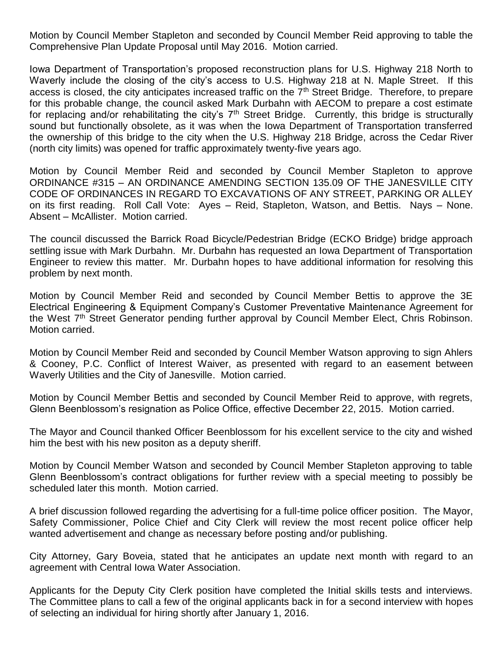Motion by Council Member Stapleton and seconded by Council Member Reid approving to table the Comprehensive Plan Update Proposal until May 2016. Motion carried.

Iowa Department of Transportation's proposed reconstruction plans for U.S. Highway 218 North to Waverly include the closing of the city's access to U.S. Highway 218 at N. Maple Street. If this access is closed, the city anticipates increased traffic on the 7<sup>th</sup> Street Bridge. Therefore, to prepare for this probable change, the council asked Mark Durbahn with AECOM to prepare a cost estimate for replacing and/or rehabilitating the city's  $7<sup>th</sup>$  Street Bridge. Currently, this bridge is structurally sound but functionally obsolete, as it was when the Iowa Department of Transportation transferred the ownership of this bridge to the city when the U.S. Highway 218 Bridge, across the Cedar River (north city limits) was opened for traffic approximately twenty-five years ago.

Motion by Council Member Reid and seconded by Council Member Stapleton to approve ORDINANCE #315 – AN ORDINANCE AMENDING SECTION 135.09 OF THE JANESVILLE CITY CODE OF ORDINANCES IN REGARD TO EXCAVATIONS OF ANY STREET, PARKING OR ALLEY on its first reading. Roll Call Vote: Ayes – Reid, Stapleton, Watson, and Bettis. Nays – None. Absent – McAllister. Motion carried.

The council discussed the Barrick Road Bicycle/Pedestrian Bridge (ECKO Bridge) bridge approach settling issue with Mark Durbahn. Mr. Durbahn has requested an Iowa Department of Transportation Engineer to review this matter. Mr. Durbahn hopes to have additional information for resolving this problem by next month.

Motion by Council Member Reid and seconded by Council Member Bettis to approve the 3E Electrical Engineering & Equipment Company's Customer Preventative Maintenance Agreement for the West 7<sup>th</sup> Street Generator pending further approval by Council Member Elect, Chris Robinson. Motion carried.

Motion by Council Member Reid and seconded by Council Member Watson approving to sign Ahlers & Cooney, P.C. Conflict of Interest Waiver, as presented with regard to an easement between Waverly Utilities and the City of Janesville. Motion carried.

Motion by Council Member Bettis and seconded by Council Member Reid to approve, with regrets, Glenn Beenblossom's resignation as Police Office, effective December 22, 2015. Motion carried.

The Mayor and Council thanked Officer Beenblossom for his excellent service to the city and wished him the best with his new positon as a deputy sheriff.

Motion by Council Member Watson and seconded by Council Member Stapleton approving to table Glenn Beenblossom's contract obligations for further review with a special meeting to possibly be scheduled later this month. Motion carried.

A brief discussion followed regarding the advertising for a full-time police officer position. The Mayor, Safety Commissioner, Police Chief and City Clerk will review the most recent police officer help wanted advertisement and change as necessary before posting and/or publishing.

City Attorney, Gary Boveia, stated that he anticipates an update next month with regard to an agreement with Central Iowa Water Association.

Applicants for the Deputy City Clerk position have completed the Initial skills tests and interviews. The Committee plans to call a few of the original applicants back in for a second interview with hopes of selecting an individual for hiring shortly after January 1, 2016.